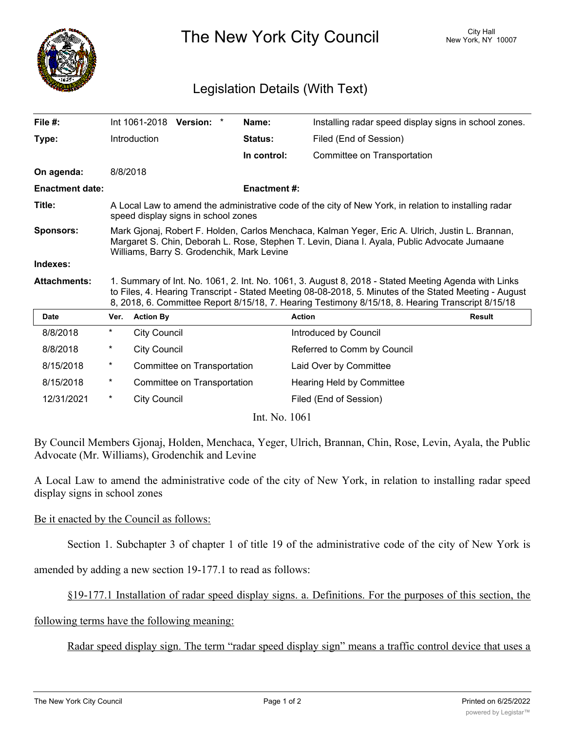

The New York City Council New York, NY 10007

## Legislation Details (With Text)

| File #:                |                                                                                                                                                                                                                                                                                                                    |                     | Int 1061-2018 Version: *    | Name:               | Installing radar speed display signs in school zones. |               |
|------------------------|--------------------------------------------------------------------------------------------------------------------------------------------------------------------------------------------------------------------------------------------------------------------------------------------------------------------|---------------------|-----------------------------|---------------------|-------------------------------------------------------|---------------|
| Type:                  |                                                                                                                                                                                                                                                                                                                    | Introduction        |                             | <b>Status:</b>      | Filed (End of Session)                                |               |
|                        |                                                                                                                                                                                                                                                                                                                    |                     |                             | In control:         | Committee on Transportation                           |               |
| On agenda:             |                                                                                                                                                                                                                                                                                                                    | 8/8/2018            |                             |                     |                                                       |               |
| <b>Enactment date:</b> |                                                                                                                                                                                                                                                                                                                    |                     |                             | <b>Enactment #:</b> |                                                       |               |
| Title:                 | A Local Law to amend the administrative code of the city of New York, in relation to installing radar<br>speed display signs in school zones                                                                                                                                                                       |                     |                             |                     |                                                       |               |
| <b>Sponsors:</b>       | Mark Gjonaj, Robert F. Holden, Carlos Menchaca, Kalman Yeger, Eric A. Ulrich, Justin L. Brannan,<br>Margaret S. Chin, Deborah L. Rose, Stephen T. Levin, Diana I. Ayala, Public Advocate Jumaane<br>Williams, Barry S. Grodenchik, Mark Levine                                                                     |                     |                             |                     |                                                       |               |
| Indexes:               |                                                                                                                                                                                                                                                                                                                    |                     |                             |                     |                                                       |               |
| <b>Attachments:</b>    | 1. Summary of Int. No. 1061, 2. Int. No. 1061, 3. August 8, 2018 - Stated Meeting Agenda with Links<br>to Files, 4. Hearing Transcript - Stated Meeting 08-08-2018, 5. Minutes of the Stated Meeting - August<br>8, 2018, 6. Committee Report 8/15/18, 7. Hearing Testimony 8/15/18, 8. Hearing Transcript 8/15/18 |                     |                             |                     |                                                       |               |
| <b>Date</b>            | Ver.                                                                                                                                                                                                                                                                                                               | <b>Action By</b>    |                             |                     | <b>Action</b>                                         | <b>Result</b> |
| 8/8/2018               | $^\star$                                                                                                                                                                                                                                                                                                           | <b>City Council</b> |                             |                     | Introduced by Council                                 |               |
| 8/8/2018               | $^\star$                                                                                                                                                                                                                                                                                                           | <b>City Council</b> |                             |                     | Referred to Comm by Council                           |               |
| 8/15/2018              | $^\star$                                                                                                                                                                                                                                                                                                           |                     | Committee on Transportation |                     | Laid Over by Committee                                |               |
| 8/15/2018              | $^\star$                                                                                                                                                                                                                                                                                                           |                     | Committee on Transportation |                     | Hearing Held by Committee                             |               |
| 12/31/2021             | $^\star$                                                                                                                                                                                                                                                                                                           | <b>City Council</b> |                             |                     | Filed (End of Session)                                |               |
| Int. No. 1061          |                                                                                                                                                                                                                                                                                                                    |                     |                             |                     |                                                       |               |

By Council Members Gjonaj, Holden, Menchaca, Yeger, Ulrich, Brannan, Chin, Rose, Levin, Ayala, the Public Advocate (Mr. Williams), Grodenchik and Levine

A Local Law to amend the administrative code of the city of New York, in relation to installing radar speed display signs in school zones

## Be it enacted by the Council as follows:

Section 1. Subchapter 3 of chapter 1 of title 19 of the administrative code of the city of New York is

amended by adding a new section 19-177.1 to read as follows:

§19-177.1 Installation of radar speed display signs. a. Definitions. For the purposes of this section, the

following terms have the following meaning:

Radar speed display sign. The term "radar speed display sign" means a traffic control device that uses a